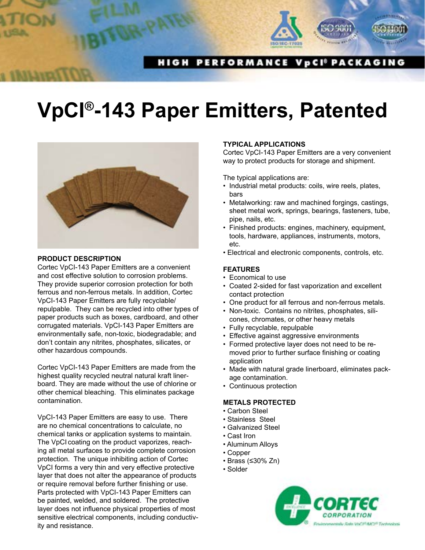

# **VpCI®-143 Paper Emitters, Patented**



#### **PRODUCT DESCRIPTION**

Cortec VpCI-143 Paper Emitters are a convenient and cost effective solution to corrosion problems. They provide superior corrosion protection for both ferrous and non-ferrous metals. In addition, Cortec VpCI-143 Paper Emitters are fully recyclable/ repulpable. They can be recycled into other types of paper products such as boxes, cardboard, and other corrugated materials. VpCI-143 Paper Emitters are environmentally safe, non-toxic, biodegradable; and don't contain any nitrites, phosphates, silicates, or other hazardous compounds.

Cortec VpCI-143 Paper Emitters are made from the highest quality recycled neutral natural kraft linerboard. They are made without the use of chlorine or other chemical bleaching. This eliminates package contamination.

VpCI-143 Paper Emitters are easy to use. There are no chemical concentrations to calculate, no chemical tanks or application systems to maintain. The VpCI coating on the product vaporizes, reaching all metal surfaces to provide complete corrosion protection. The unique inhibiting action of Cortec VpCI forms a very thin and very effective protective layer that does not alter the appearance of products or require removal before further finishing or use. Parts protected with VpCI-143 Paper Emitters can be painted, welded, and soldered. The protective layer does not influence physical properties of most sensitive electrical components, including conductivity and resistance.

### **TYPICAL APPLICATIONS**

Cortec VpCI-143 Paper Emitters are a very convenient way to protect products for storage and shipment.

The typical applications are:

- Industrial metal products: coils, wire reels, plates, bars
- Metalworking: raw and machined forgings, castings, sheet metal work, springs, bearings, fasteners, tube, pipe, nails, etc.
- Finished products: engines, machinery, equipment, tools, hardware, appliances, instruments, motors, etc.
- Electrical and electronic components, controls, etc.

### **FEATURES**

- Economical to use
- Coated 2-sided for fast vaporization and excellent contact protection
- One product for all ferrous and non-ferrous metals.
- Non-toxic. Contains no nitrites, phosphates, silicones, chromates, or other heavy metals
- Fully recyclable, repulpable
- Effective against aggressive environments
- Formed protective layer does not need to be removed prior to further surface finishing or coating application
- Made with natural grade linerboard, eliminates package contamination.
- Continuous protection

## **METALS PROTECTED**

- Carbon Steel
- Stainless Steel
- Galvanized Steel
- Cast Iron
- Aluminum Alloys
- Copper
- Brass (≤30% Zn)
- Solder